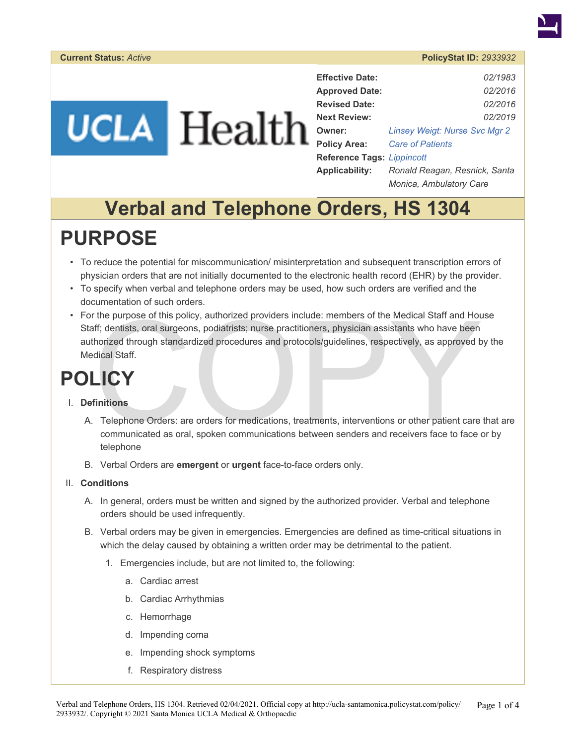## **UCLA** Health

| <b>Effective Date:</b>            | 02/1983                              |
|-----------------------------------|--------------------------------------|
| <b>Approved Date:</b>             | 02/2016                              |
| <b>Revised Date:</b>              | 02/2016                              |
| <b>Next Review:</b>               | 02/2019                              |
| Owner:                            | <b>Linsey Weigt: Nurse Svc Mgr 2</b> |
| <b>Policy Area:</b>               | <b>Care of Patients</b>              |
| <b>Reference Tags: Lippincott</b> |                                      |
| <b>Applicability:</b>             | Ronald Reagan, Resnick, Santa        |
|                                   | Monica, Ambulatory Care              |

## **Verbal and Telephone Orders, HS 1304**

### **PURPOSE**

- To reduce the potential for miscommunication/ misinterpretation and subsequent transcription errors of physician orders that are not initially documented to the electronic health record (EHR) by the provider.
- To specify when verbal and telephone orders may be used, how such orders are verified and the documentation of such orders.
- The purpose of this policy, authorized providers include: members of the Medical Staff and Hourd (and Staff and Hourd) (and Staff and Hourd) standardized procedures and protocols/guidelines, respectively, as approved be di • For the purpose of this policy, authorized providers include: members of the Medical Staff and House Staff; dentists, oral surgeons, podiatrists; nurse practitioners, physician assistants who have been authorized through standardized procedures and protocols/guidelines, respectively, as approved by the Medical Staff.

## **POLICY**

#### I. **Definitions**

- A. Telephone Orders: are orders for medications, treatments, interventions or other patient care that are communicated as oral, spoken communications between senders and receivers face to face or by telephone
- B. Verbal Orders are **emergent** or **urgent** face-to-face orders only.
- II. **Conditions** 
	- A. In general, orders must be written and signed by the authorized provider. Verbal and telephone orders should be used infrequently.
	- B. Verbal orders may be given in emergencies. Emergencies are defined as time-critical situations in which the delay caused by obtaining a written order may be detrimental to the patient.
		- 1. Emergencies include, but are not limited to, the following:
			- a. Cardiac arrest
			- b. Cardiac Arrhythmias
			- c. Hemorrhage
			- d. Impending coma
			- e. Impending shock symptoms
			- f. Respiratory distress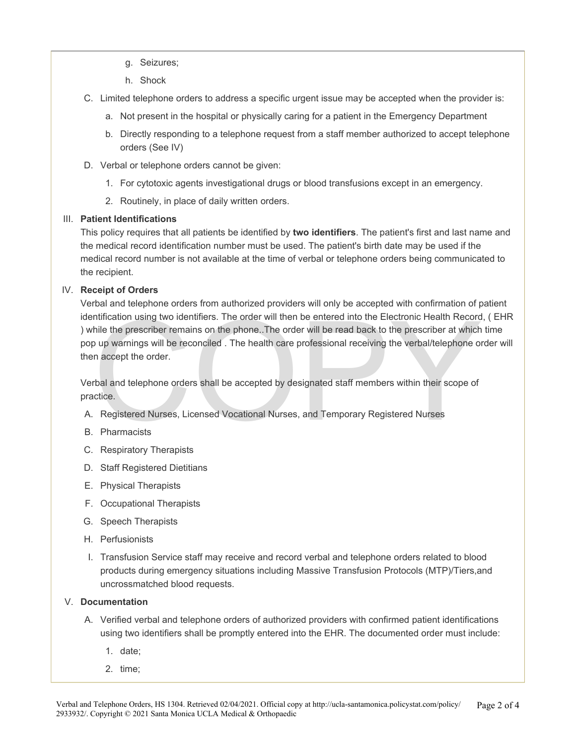- g. Seizures;
- h. Shock
- C. Limited telephone orders to address a specific urgent issue may be accepted when the provider is:
	- a. Not present in the hospital or physically caring for a patient in the Emergency Department
	- b. Directly responding to a telephone request from a staff member authorized to accept telephone orders (See IV)
- D. Verbal or telephone orders cannot be given:
	- 1. For cytotoxic agents investigational drugs or blood transfusions except in an emergency.
	- 2. Routinely, in place of daily written orders.

### III. **Patient Identifications**

This policy requires that all patients be identified by **two identifiers**. The patient's first and last name and the medical record identification number must be used. The patient's birth date may be used if the medical record number is not available at the time of verbal or telephone orders being communicated to the recipient.

### IV. **Receipt of Orders**

ntification using two identifiers. The order will then be entered into the Electronic Health Record<br>hile the prescriber remains on the phone. The order will be read back to the prescriber at which<br>bup warnings will be reco Verbal and telephone orders from authorized providers will only be accepted with confirmation of patient identification using two identifiers. The order will then be entered into the Electronic Health Record, ( EHR ) while the prescriber remains on the phone..The order will be read back to the prescriber at which time pop up warnings will be reconciled . The health care professional receiving the verbal/telephone order will then accept the order.

Verbal and telephone orders shall be accepted by designated staff members within their scope of practice.

- A. Registered Nurses, Licensed Vocational Nurses, and Temporary Registered Nurses
- B. Pharmacists
- C. Respiratory Therapists
- D. Staff Registered Dietitians
- E. Physical Therapists
- F. Occupational Therapists
- G. Speech Therapists
- H. Perfusionists
- I. Transfusion Service staff may receive and record verbal and telephone orders related to blood products during emergency situations including Massive Transfusion Protocols (MTP)/Tiers,and uncrossmatched blood requests.

#### V. **Documentation**

- A. Verified verbal and telephone orders of authorized providers with confirmed patient identifications using two identifiers shall be promptly entered into the EHR. The documented order must include:
	- 1. date;
	- 2. time;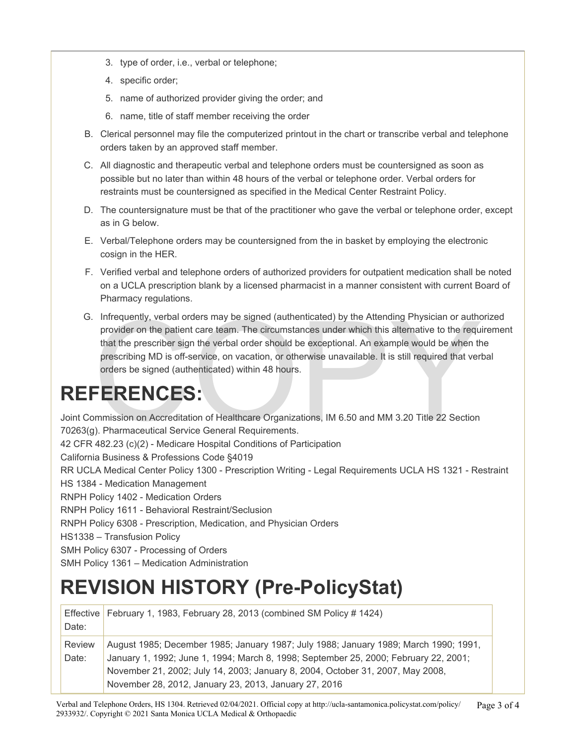- 3. type of order, i.e., verbal or telephone;
- 4. specific order;
- 5. name of authorized provider giving the order; and
- 6. name, title of staff member receiving the order
- B. Clerical personnel may file the computerized printout in the chart or transcribe verbal and telephone orders taken by an approved staff member.
- C. All diagnostic and therapeutic verbal and telephone orders must be countersigned as soon as possible but no later than within 48 hours of the verbal or telephone order. Verbal orders for restraints must be countersigned as specified in the Medical Center Restraint Policy.
- D. The countersignature must be that of the practitioner who gave the verbal or telephone order, except as in G below.
- E. Verbal/Telephone orders may be countersigned from the in basket by employing the electronic cosign in the HER.
- F. Verified verbal and telephone orders of authorized providers for outpatient medication shall be noted on a UCLA prescription blank by a licensed pharmacist in a manner consistent with current Board of Pharmacy regulations.
- Infrequently, verbal orders may be signed (authenticated) by the Attending Physician or authorivider on the patient care team. The circumstances under which this alternative to the required that the prescribir sign the ver G. Infrequently, verbal orders may be signed (authenticated) by the Attending Physician or authorized provider on the patient care team. The circumstances under which this alternative to the requirement that the prescriber sign the verbal order should be exceptional. An example would be when the prescribing MD is off-service, on vacation, or otherwise unavailable. It is still required that verbal orders be signed (authenticated) within 48 hours.

## **REFERENCES:**

Joint Commission on Accreditation of Healthcare Organizations, IM 6.50 and MM 3.20 Title 22 Section 70263(g). Pharmaceutical Service General Requirements. 42 CFR 482.23 (c)(2) - Medicare Hospital Conditions of Participation California Business & Professions Code §4019 RR UCLA Medical Center Policy 1300 - Prescription Writing - Legal Requirements UCLA HS 1321 - Restraint HS 1384 - Medication Management RNPH Policy 1402 - Medication Orders RNPH Policy 1611 - Behavioral Restraint/Seclusion RNPH Policy 6308 - Prescription, Medication, and Physician Orders HS1338 – Transfusion Policy SMH Policy 6307 - Processing of Orders

SMH Policy 1361 – Medication Administration

## **REVISION HISTORY (Pre-PolicyStat)**

| Date:                  | Effective   February 1, 1983, February 28, 2013 (combined SM Policy # 1424)                                                                                                                                                                                                                                             |
|------------------------|-------------------------------------------------------------------------------------------------------------------------------------------------------------------------------------------------------------------------------------------------------------------------------------------------------------------------|
| <b>Review</b><br>Date: | August 1985; December 1985; January 1987; July 1988; January 1989; March 1990; 1991,<br>January 1, 1992; June 1, 1994; March 8, 1998; September 25, 2000; February 22, 2001;<br>November 21, 2002; July 14, 2003; January 8, 2004, October 31, 2007, May 2008,<br>November 28, 2012, January 23, 2013, January 27, 2016 |